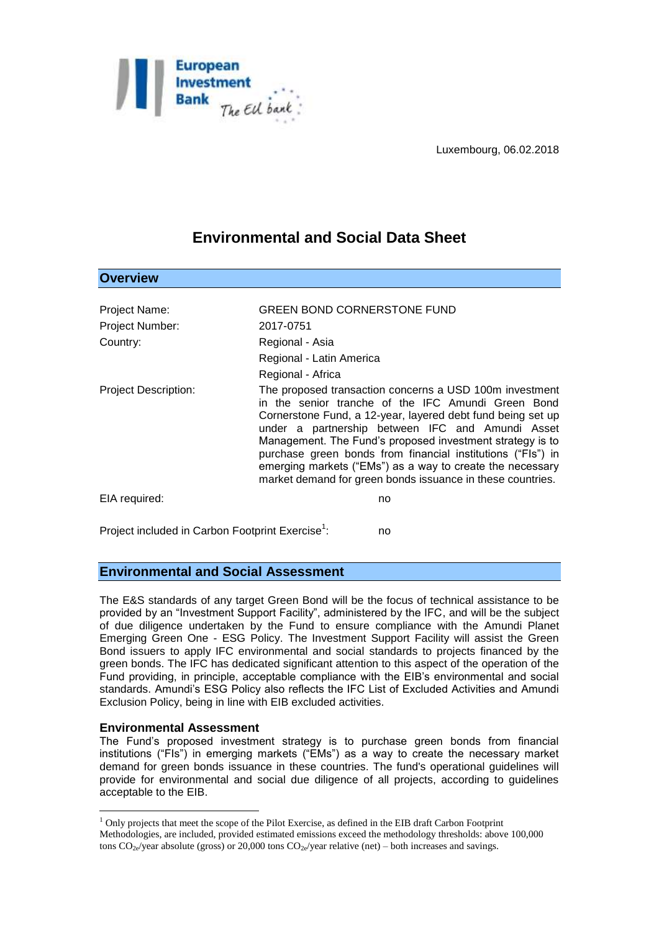

**Overview**

## Project Name: GREEN BOND CORNERSTONE FUND Project Number: 2017-0751 Country: **Regional - Asia** Regional - Latin America Regional - Africa Project Description: The proposed transaction concerns a USD 100m investment in the senior tranche of the IFC Amundi Green Bond Cornerstone Fund, a 12-year, layered debt fund being set up under a partnership between IFC and Amundi Asset Management. The Fund's proposed investment strategy is to purchase green bonds from financial institutions ("FIs") in emerging markets ("EMs") as a way to create the necessary market demand for green bonds issuance in these countries. EIA required: no

# **Environmental and Social Data Sheet**

Project included in Carbon Footprint Exercise<sup>1</sup>: : no

## **Environmental and Social Assessment**

The E&S standards of any target Green Bond will be the focus of technical assistance to be provided by an "Investment Support Facility", administered by the IFC, and will be the subject of due diligence undertaken by the Fund to ensure compliance with the Amundi Planet Emerging Green One - ESG Policy. The Investment Support Facility will assist the Green Bond issuers to apply IFC environmental and social standards to projects financed by the green bonds. The IFC has dedicated significant attention to this aspect of the operation of the Fund providing, in principle, acceptable compliance with the EIB's environmental and social standards. Amundi's ESG Policy also reflects the IFC List of Excluded Activities and Amundi Exclusion Policy, being in line with EIB excluded activities.

## **Environmental Assessment**

1

The Fund's proposed investment strategy is to purchase green bonds from financial institutions ("FIs") in emerging markets ("EMs") as a way to create the necessary market demand for green bonds issuance in these countries. The fund's operational guidelines will provide for environmental and social due diligence of all projects, according to guidelines acceptable to the EIB.

 $<sup>1</sup>$  Only projects that meet the scope of the Pilot Exercise, as defined in the EIB draft Carbon Footprint</sup> Methodologies, are included, provided estimated emissions exceed the methodology thresholds: above 100,000 tons  $CO_{2e}/year$  absolute (gross) or 20,000 tons  $CO_{2e}/year$  relative (net) – both increases and savings.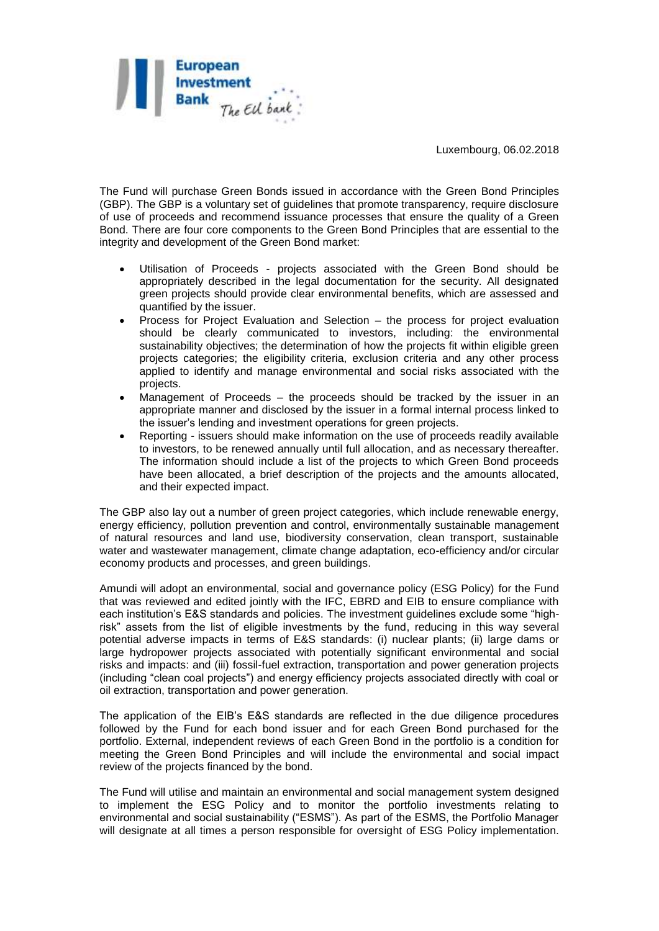

Luxembourg, 06.02.2018

The Fund will purchase Green Bonds issued in accordance with the Green Bond Principles (GBP). The GBP is a voluntary set of guidelines that promote transparency, require disclosure of use of proceeds and recommend issuance processes that ensure the quality of a Green Bond. There are four core components to the Green Bond Principles that are essential to the integrity and development of the Green Bond market:

- Utilisation of Proceeds projects associated with the Green Bond should be appropriately described in the legal documentation for the security. All designated green projects should provide clear environmental benefits, which are assessed and quantified by the issuer.
- Process for Project Evaluation and Selection the process for project evaluation should be clearly communicated to investors, including: the environmental sustainability objectives; the determination of how the projects fit within eligible green projects categories; the eligibility criteria, exclusion criteria and any other process applied to identify and manage environmental and social risks associated with the projects.
- Management of Proceeds the proceeds should be tracked by the issuer in an appropriate manner and disclosed by the issuer in a formal internal process linked to the issuer's lending and investment operations for green projects.
- Reporting issuers should make information on the use of proceeds readily available to investors, to be renewed annually until full allocation, and as necessary thereafter. The information should include a list of the projects to which Green Bond proceeds have been allocated, a brief description of the projects and the amounts allocated, and their expected impact.

The GBP also lay out a number of green project categories, which include renewable energy, energy efficiency, pollution prevention and control, environmentally sustainable management of natural resources and land use, biodiversity conservation, clean transport, sustainable water and wastewater management, climate change adaptation, eco-efficiency and/or circular economy products and processes, and green buildings.

Amundi will adopt an environmental, social and governance policy (ESG Policy) for the Fund that was reviewed and edited jointly with the IFC, EBRD and EIB to ensure compliance with each institution's E&S standards and policies. The investment guidelines exclude some "highrisk" assets from the list of eligible investments by the fund, reducing in this way several potential adverse impacts in terms of E&S standards: (i) nuclear plants; (ii) large dams or large hydropower projects associated with potentially significant environmental and social risks and impacts: and (iii) fossil-fuel extraction, transportation and power generation projects (including "clean coal projects") and energy efficiency projects associated directly with coal or oil extraction, transportation and power generation.

The application of the EIB's E&S standards are reflected in the due diligence procedures followed by the Fund for each bond issuer and for each Green Bond purchased for the portfolio. External, independent reviews of each Green Bond in the portfolio is a condition for meeting the Green Bond Principles and will include the environmental and social impact review of the projects financed by the bond.

The Fund will utilise and maintain an environmental and social management system designed to implement the ESG Policy and to monitor the portfolio investments relating to environmental and social sustainability ("ESMS"). As part of the ESMS, the Portfolio Manager will designate at all times a person responsible for oversight of ESG Policy implementation.